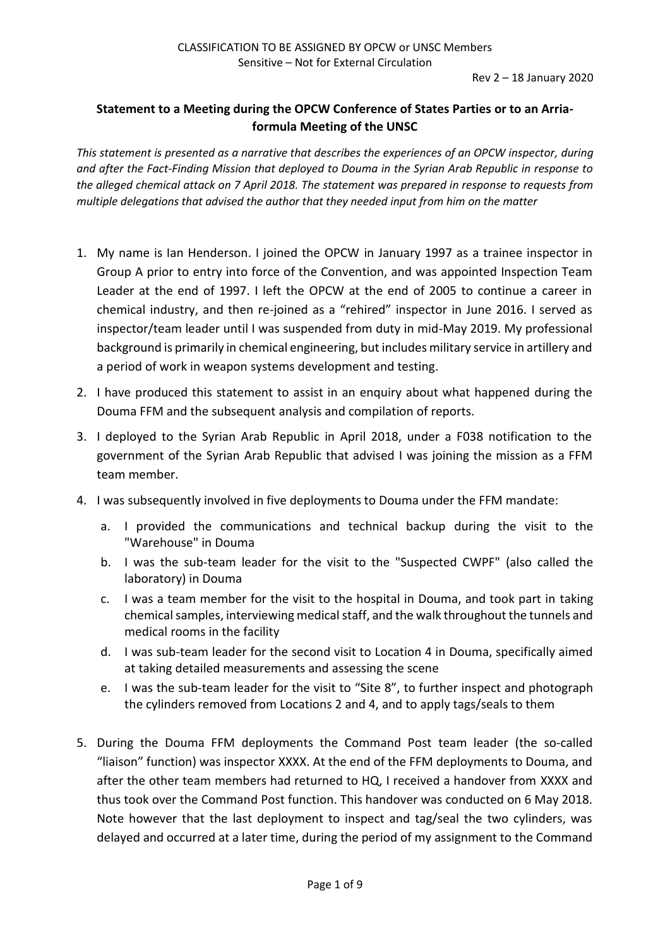## **Statement to a Meeting during the OPCW Conference of States Parties or to an Arriaformula Meeting of the UNSC**

*This statement is presented as a narrative that describes the experiences of an OPCW inspector, during and after the Fact-Finding Mission that deployed to Douma in the Syrian Arab Republic in response to the alleged chemical attack on 7 April 2018. The statement was prepared in response to requests from multiple delegations that advised the author that they needed input from him on the matter*

- 1. My name is Ian Henderson. I joined the OPCW in January 1997 as a trainee inspector in Group A prior to entry into force of the Convention, and was appointed Inspection Team Leader at the end of 1997. I left the OPCW at the end of 2005 to continue a career in chemical industry, and then re-joined as a "rehired" inspector in June 2016. I served as inspector/team leader until I was suspended from duty in mid-May 2019. My professional background is primarily in chemical engineering, but includes military service in artillery and a period of work in weapon systems development and testing.
- 2. I have produced this statement to assist in an enquiry about what happened during the Douma FFM and the subsequent analysis and compilation of reports.
- 3. I deployed to the Syrian Arab Republic in April 2018, under a F038 notification to the government of the Syrian Arab Republic that advised I was joining the mission as a FFM team member.
- 4. I was subsequently involved in five deployments to Douma under the FFM mandate:
	- a. I provided the communications and technical backup during the visit to the "Warehouse" in Douma
	- b. I was the sub-team leader for the visit to the "Suspected CWPF" (also called the laboratory) in Douma
	- c. I was a team member for the visit to the hospital in Douma, and took part in taking chemical samples, interviewing medical staff, and the walk throughout the tunnels and medical rooms in the facility
	- d. I was sub-team leader for the second visit to Location 4 in Douma, specifically aimed at taking detailed measurements and assessing the scene
	- e. I was the sub-team leader for the visit to "Site 8", to further inspect and photograph the cylinders removed from Locations 2 and 4, and to apply tags/seals to them
- 5. During the Douma FFM deployments the Command Post team leader (the so-called "liaison" function) was inspector XXXX. At the end of the FFM deployments to Douma, and after the other team members had returned to HQ, I received a handover from XXXX and thus took over the Command Post function. This handover was conducted on 6 May 2018. Note however that the last deployment to inspect and tag/seal the two cylinders, was delayed and occurred at a later time, during the period of my assignment to the Command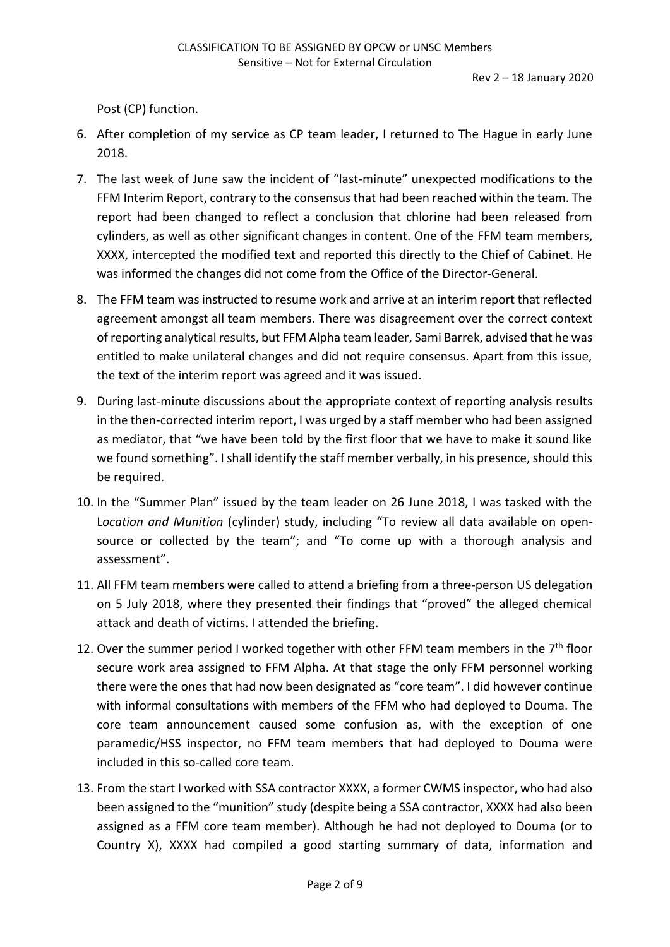Post (CP) function.

- 6. After completion of my service as CP team leader, I returned to The Hague in early June 2018.
- 7. The last week of June saw the incident of "last-minute" unexpected modifications to the FFM Interim Report, contrary to the consensus that had been reached within the team. The report had been changed to reflect a conclusion that chlorine had been released from cylinders, as well as other significant changes in content. One of the FFM team members, XXXX, intercepted the modified text and reported this directly to the Chief of Cabinet. He was informed the changes did not come from the Office of the Director-General.
- 8. The FFM team was instructed to resume work and arrive at an interim report that reflected agreement amongst all team members. There was disagreement over the correct context of reporting analytical results, but FFM Alpha team leader, Sami Barrek, advised that he was entitled to make unilateral changes and did not require consensus. Apart from this issue, the text of the interim report was agreed and it was issued.
- 9. During last-minute discussions about the appropriate context of reporting analysis results in the then-corrected interim report, I was urged by a staff member who had been assigned as mediator, that "we have been told by the first floor that we have to make it sound like we found something". I shall identify the staff member verbally, in his presence, should this be required.
- 10. In the "Summer Plan" issued by the team leader on 26 June 2018, I was tasked with the L*ocation and Munition* (cylinder) study, including "To review all data available on opensource or collected by the team"; and "To come up with a thorough analysis and assessment".
- 11. All FFM team members were called to attend a briefing from a three-person US delegation on 5 July 2018, where they presented their findings that "proved" the alleged chemical attack and death of victims. I attended the briefing.
- 12. Over the summer period I worked together with other FFM team members in the  $7<sup>th</sup>$  floor secure work area assigned to FFM Alpha. At that stage the only FFM personnel working there were the ones that had now been designated as "core team". I did however continue with informal consultations with members of the FFM who had deployed to Douma. The core team announcement caused some confusion as, with the exception of one paramedic/HSS inspector, no FFM team members that had deployed to Douma were included in this so-called core team.
- 13. From the start I worked with SSA contractor XXXX, a former CWMS inspector, who had also been assigned to the "munition" study (despite being a SSA contractor, XXXX had also been assigned as a FFM core team member). Although he had not deployed to Douma (or to Country X), XXXX had compiled a good starting summary of data, information and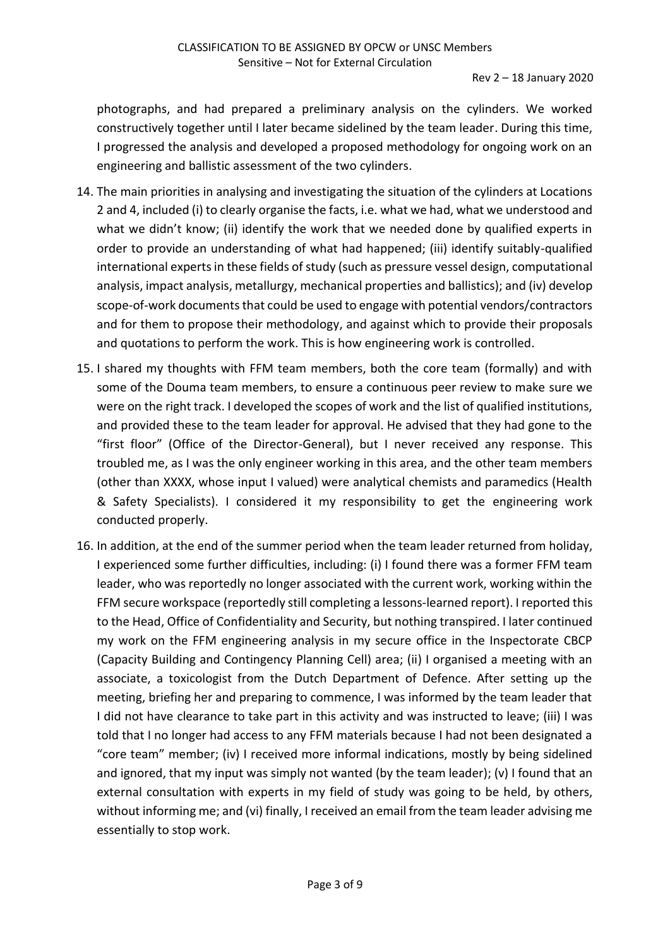Rev 2 – 18 January 2020

photographs, and had prepared a preliminary analysis on the cylinders. We worked constructively together until I later became sidelined by the team leader. During this time, I progressed the analysis and developed a proposed methodology for ongoing work on an engineering and ballistic assessment of the two cylinders.

- 14. The main priorities in analysing and investigating the situation of the cylinders at Locations 2 and 4, included (i) to clearly organise the facts, i.e. what we had, what we understood and what we didn't know; (ii) identify the work that we needed done by qualified experts in order to provide an understanding of what had happened; (iii) identify suitably-qualified international experts in these fields of study (such as pressure vessel design, computational analysis, impact analysis, metallurgy, mechanical properties and ballistics); and (iv) develop scope-of-work documents that could be used to engage with potential vendors/contractors and for them to propose their methodology, and against which to provide their proposals and quotations to perform the work. This is how engineering work is controlled.
- 15. I shared my thoughts with FFM team members, both the core team (formally) and with some of the Douma team members, to ensure a continuous peer review to make sure we were on the right track. I developed the scopes of work and the list of qualified institutions, and provided these to the team leader for approval. He advised that they had gone to the "first floor" (Office of the Director-General), but I never received any response. This troubled me, as I was the only engineer working in this area, and the other team members (other than XXXX, whose input I valued) were analytical chemists and paramedics (Health & Safety Specialists). I considered it my responsibility to get the engineering work conducted properly.
- 16. In addition, at the end of the summer period when the team leader returned from holiday, I experienced some further difficulties, including: (i) I found there was a former FFM team leader, who was reportedly no longer associated with the current work, working within the FFM secure workspace (reportedly still completing a lessons-learned report). I reported this to the Head, Office of Confidentiality and Security, but nothing transpired. I later continued my work on the FFM engineering analysis in my secure office in the Inspectorate CBCP (Capacity Building and Contingency Planning Cell) area; (ii) I organised a meeting with an associate, a toxicologist from the Dutch Department of Defence. After setting up the meeting, briefing her and preparing to commence, I was informed by the team leader that I did not have clearance to take part in this activity and was instructed to leave; (iii) I was told that I no longer had access to any FFM materials because I had not been designated a "core team" member; (iv) I received more informal indications, mostly by being sidelined and ignored, that my input was simply not wanted (by the team leader); (v) I found that an external consultation with experts in my field of study was going to be held, by others, without informing me; and (vi) finally, I received an email from the team leader advising me essentially to stop work.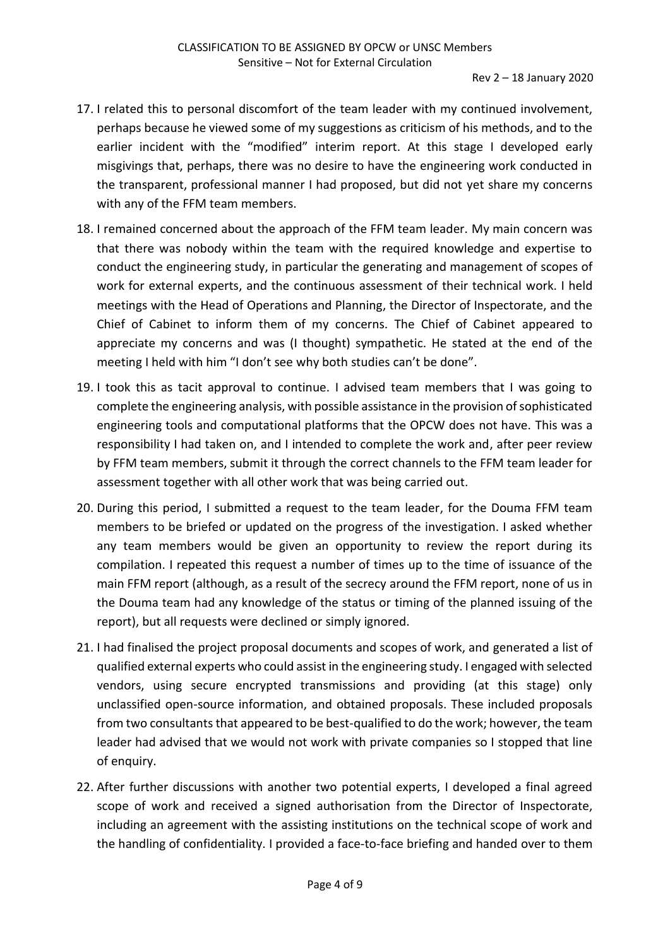- 17. I related this to personal discomfort of the team leader with my continued involvement, perhaps because he viewed some of my suggestions as criticism of his methods, and to the earlier incident with the "modified" interim report. At this stage I developed early misgivings that, perhaps, there was no desire to have the engineering work conducted in the transparent, professional manner I had proposed, but did not yet share my concerns with any of the FFM team members.
- 18. I remained concerned about the approach of the FFM team leader. My main concern was that there was nobody within the team with the required knowledge and expertise to conduct the engineering study, in particular the generating and management of scopes of work for external experts, and the continuous assessment of their technical work. I held meetings with the Head of Operations and Planning, the Director of Inspectorate, and the Chief of Cabinet to inform them of my concerns. The Chief of Cabinet appeared to appreciate my concerns and was (I thought) sympathetic. He stated at the end of the meeting I held with him "I don't see why both studies can't be done".
- 19. I took this as tacit approval to continue. I advised team members that I was going to complete the engineering analysis, with possible assistance in the provision of sophisticated engineering tools and computational platforms that the OPCW does not have. This was a responsibility I had taken on, and I intended to complete the work and, after peer review by FFM team members, submit it through the correct channels to the FFM team leader for assessment together with all other work that was being carried out.
- 20. During this period, I submitted a request to the team leader, for the Douma FFM team members to be briefed or updated on the progress of the investigation. I asked whether any team members would be given an opportunity to review the report during its compilation. I repeated this request a number of times up to the time of issuance of the main FFM report (although, as a result of the secrecy around the FFM report, none of us in the Douma team had any knowledge of the status or timing of the planned issuing of the report), but all requests were declined or simply ignored.
- 21. I had finalised the project proposal documents and scopes of work, and generated a list of qualified external experts who could assist in the engineering study. I engaged with selected vendors, using secure encrypted transmissions and providing (at this stage) only unclassified open-source information, and obtained proposals. These included proposals from two consultants that appeared to be best-qualified to do the work; however, the team leader had advised that we would not work with private companies so I stopped that line of enquiry.
- 22. After further discussions with another two potential experts, I developed a final agreed scope of work and received a signed authorisation from the Director of Inspectorate, including an agreement with the assisting institutions on the technical scope of work and the handling of confidentiality. I provided a face-to-face briefing and handed over to them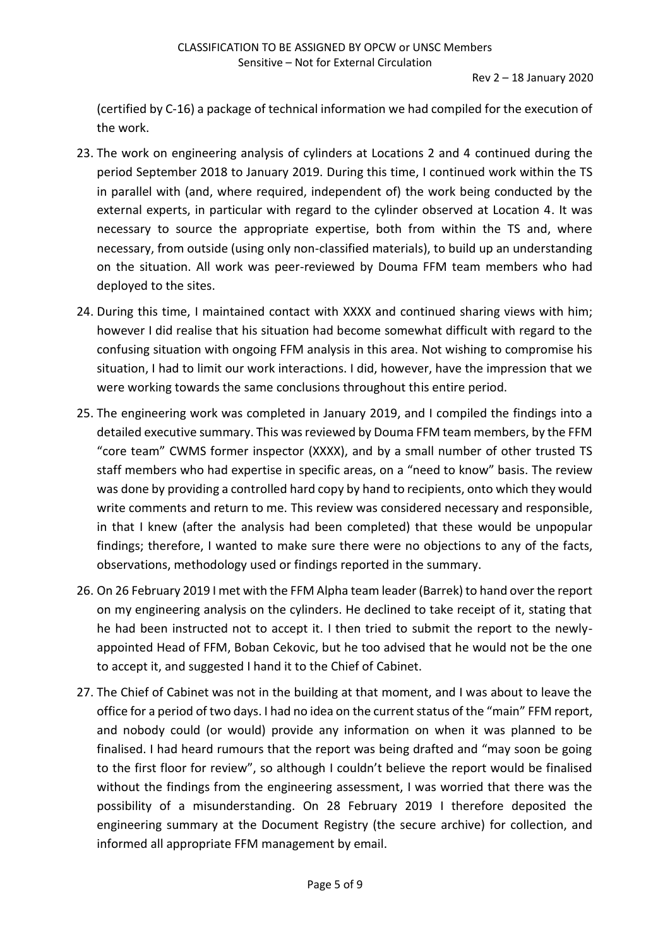(certified by C-16) a package of technical information we had compiled for the execution of the work.

- 23. The work on engineering analysis of cylinders at Locations 2 and 4 continued during the period September 2018 to January 2019. During this time, I continued work within the TS in parallel with (and, where required, independent of) the work being conducted by the external experts, in particular with regard to the cylinder observed at Location 4. It was necessary to source the appropriate expertise, both from within the TS and, where necessary, from outside (using only non-classified materials), to build up an understanding on the situation. All work was peer-reviewed by Douma FFM team members who had deployed to the sites.
- 24. During this time, I maintained contact with XXXX and continued sharing views with him; however I did realise that his situation had become somewhat difficult with regard to the confusing situation with ongoing FFM analysis in this area. Not wishing to compromise his situation, I had to limit our work interactions. I did, however, have the impression that we were working towards the same conclusions throughout this entire period.
- 25. The engineering work was completed in January 2019, and I compiled the findings into a detailed executive summary. This was reviewed by Douma FFM team members, by the FFM "core team" CWMS former inspector (XXXX), and by a small number of other trusted TS staff members who had expertise in specific areas, on a "need to know" basis. The review was done by providing a controlled hard copy by hand to recipients, onto which they would write comments and return to me. This review was considered necessary and responsible, in that I knew (after the analysis had been completed) that these would be unpopular findings; therefore, I wanted to make sure there were no objections to any of the facts, observations, methodology used or findings reported in the summary.
- 26. On 26 February 2019 I met with the FFM Alpha team leader (Barrek) to hand over the report on my engineering analysis on the cylinders. He declined to take receipt of it, stating that he had been instructed not to accept it. I then tried to submit the report to the newlyappointed Head of FFM, Boban Cekovic, but he too advised that he would not be the one to accept it, and suggested I hand it to the Chief of Cabinet.
- 27. The Chief of Cabinet was not in the building at that moment, and I was about to leave the office for a period of two days. I had no idea on the current status of the "main" FFM report, and nobody could (or would) provide any information on when it was planned to be finalised. I had heard rumours that the report was being drafted and "may soon be going to the first floor for review", so although I couldn't believe the report would be finalised without the findings from the engineering assessment, I was worried that there was the possibility of a misunderstanding. On 28 February 2019 I therefore deposited the engineering summary at the Document Registry (the secure archive) for collection, and informed all appropriate FFM management by email.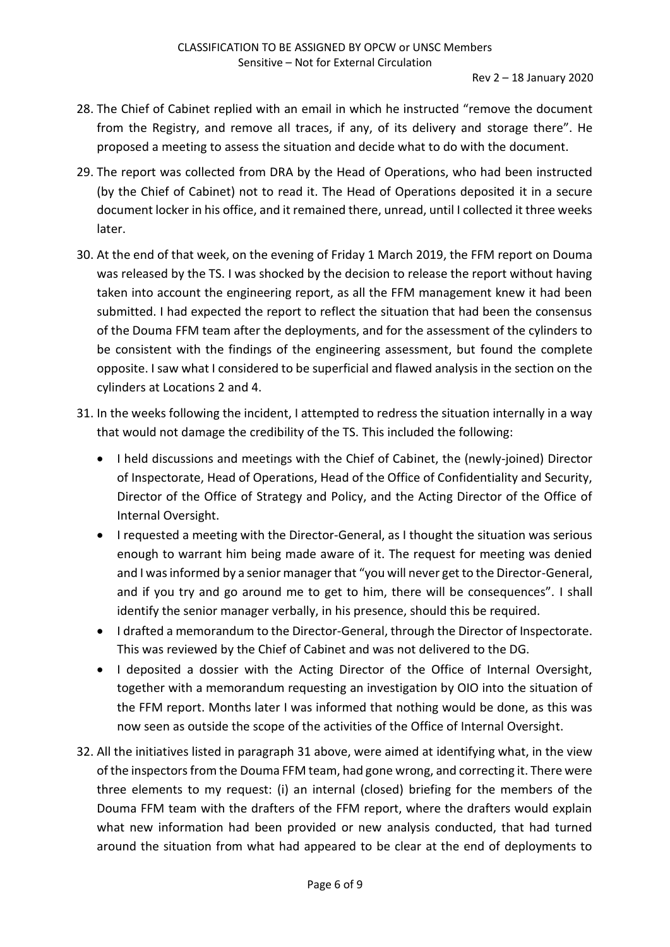- 28. The Chief of Cabinet replied with an email in which he instructed "remove the document from the Registry, and remove all traces, if any, of its delivery and storage there". He proposed a meeting to assess the situation and decide what to do with the document.
- 29. The report was collected from DRA by the Head of Operations, who had been instructed (by the Chief of Cabinet) not to read it. The Head of Operations deposited it in a secure document locker in his office, and it remained there, unread, until I collected it three weeks later.
- 30. At the end of that week, on the evening of Friday 1 March 2019, the FFM report on Douma was released by the TS. I was shocked by the decision to release the report without having taken into account the engineering report, as all the FFM management knew it had been submitted. I had expected the report to reflect the situation that had been the consensus of the Douma FFM team after the deployments, and for the assessment of the cylinders to be consistent with the findings of the engineering assessment, but found the complete opposite. I saw what I considered to be superficial and flawed analysis in the section on the cylinders at Locations 2 and 4.
- 31. In the weeks following the incident, I attempted to redress the situation internally in a way that would not damage the credibility of the TS. This included the following:
	- I held discussions and meetings with the Chief of Cabinet, the (newly-joined) Director of Inspectorate, Head of Operations, Head of the Office of Confidentiality and Security, Director of the Office of Strategy and Policy, and the Acting Director of the Office of Internal Oversight.
	- I requested a meeting with the Director-General, as I thought the situation was serious enough to warrant him being made aware of it. The request for meeting was denied and I was informed by a senior manager that "you will never get to the Director-General, and if you try and go around me to get to him, there will be consequences". I shall identify the senior manager verbally, in his presence, should this be required.
	- I drafted a memorandum to the Director-General, through the Director of Inspectorate. This was reviewed by the Chief of Cabinet and was not delivered to the DG.
	- I deposited a dossier with the Acting Director of the Office of Internal Oversight, together with a memorandum requesting an investigation by OIO into the situation of the FFM report. Months later I was informed that nothing would be done, as this was now seen as outside the scope of the activities of the Office of Internal Oversight.
- 32. All the initiatives listed in paragraph 31 above, were aimed at identifying what, in the view of the inspectors from the Douma FFM team, had gone wrong, and correcting it. There were three elements to my request: (i) an internal (closed) briefing for the members of the Douma FFM team with the drafters of the FFM report, where the drafters would explain what new information had been provided or new analysis conducted, that had turned around the situation from what had appeared to be clear at the end of deployments to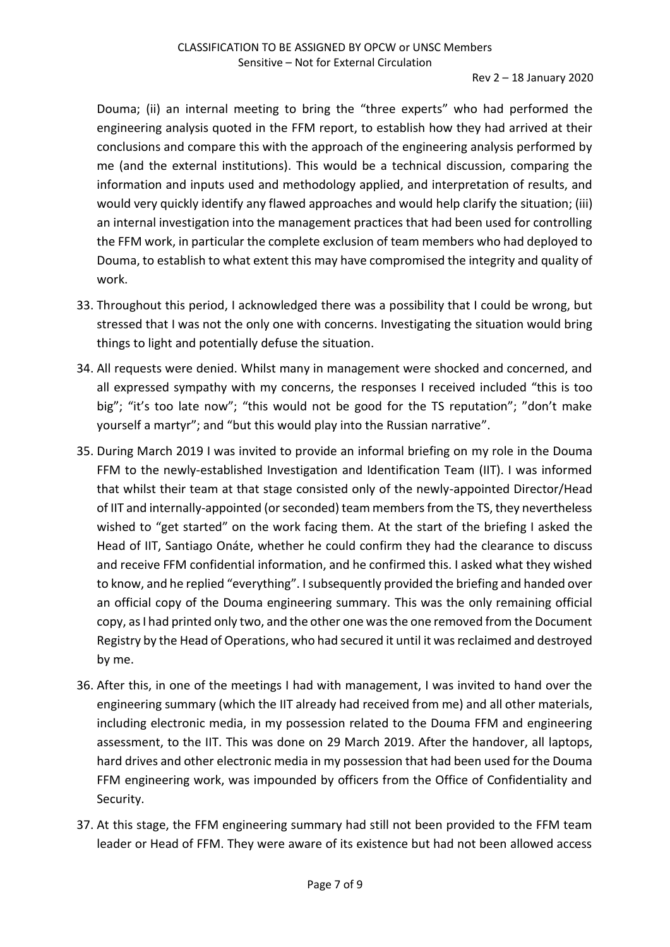Douma; (ii) an internal meeting to bring the "three experts" who had performed the engineering analysis quoted in the FFM report, to establish how they had arrived at their conclusions and compare this with the approach of the engineering analysis performed by me (and the external institutions). This would be a technical discussion, comparing the information and inputs used and methodology applied, and interpretation of results, and would very quickly identify any flawed approaches and would help clarify the situation; (iii) an internal investigation into the management practices that had been used for controlling the FFM work, in particular the complete exclusion of team members who had deployed to Douma, to establish to what extent this may have compromised the integrity and quality of work.

- 33. Throughout this period, I acknowledged there was a possibility that I could be wrong, but stressed that I was not the only one with concerns. Investigating the situation would bring things to light and potentially defuse the situation.
- 34. All requests were denied. Whilst many in management were shocked and concerned, and all expressed sympathy with my concerns, the responses I received included "this is too big"; "it's too late now"; "this would not be good for the TS reputation"; "don't make yourself a martyr"; and "but this would play into the Russian narrative".
- 35. During March 2019 I was invited to provide an informal briefing on my role in the Douma FFM to the newly-established Investigation and Identification Team (IIT). I was informed that whilst their team at that stage consisted only of the newly-appointed Director/Head of IIT and internally-appointed (or seconded) team members from the TS, they nevertheless wished to "get started" on the work facing them. At the start of the briefing I asked the Head of IIT, Santiago Onáte, whether he could confirm they had the clearance to discuss and receive FFM confidential information, and he confirmed this. I asked what they wished to know, and he replied "everything". I subsequently provided the briefing and handed over an official copy of the Douma engineering summary. This was the only remaining official copy, as I had printed only two, and the other one was the one removed from the Document Registry by the Head of Operations, who had secured it until it was reclaimed and destroyed by me.
- 36. After this, in one of the meetings I had with management, I was invited to hand over the engineering summary (which the IIT already had received from me) and all other materials, including electronic media, in my possession related to the Douma FFM and engineering assessment, to the IIT. This was done on 29 March 2019. After the handover, all laptops, hard drives and other electronic media in my possession that had been used for the Douma FFM engineering work, was impounded by officers from the Office of Confidentiality and Security.
- 37. At this stage, the FFM engineering summary had still not been provided to the FFM team leader or Head of FFM. They were aware of its existence but had not been allowed access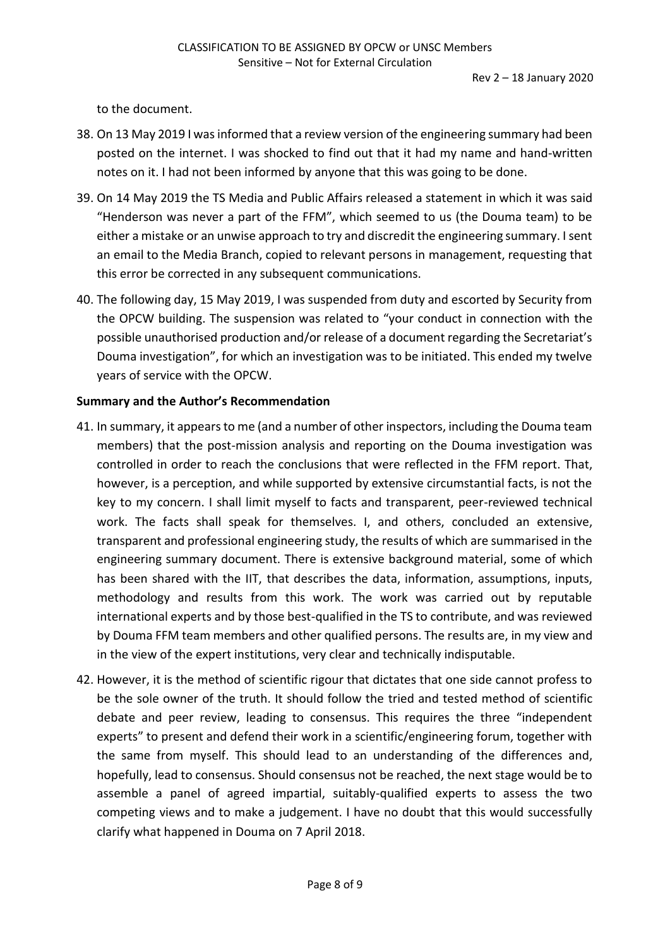to the document.

- 38. On 13 May 2019 I was informed that a review version of the engineering summary had been posted on the internet. I was shocked to find out that it had my name and hand-written notes on it. I had not been informed by anyone that this was going to be done.
- 39. On 14 May 2019 the TS Media and Public Affairs released a statement in which it was said "Henderson was never a part of the FFM", which seemed to us (the Douma team) to be either a mistake or an unwise approach to try and discredit the engineering summary. I sent an email to the Media Branch, copied to relevant persons in management, requesting that this error be corrected in any subsequent communications.
- 40. The following day, 15 May 2019, I was suspended from duty and escorted by Security from the OPCW building. The suspension was related to "your conduct in connection with the possible unauthorised production and/or release of a document regarding the Secretariat's Douma investigation", for which an investigation was to be initiated. This ended my twelve years of service with the OPCW.

## **Summary and the Author's Recommendation**

- 41. In summary, it appears to me (and a number of other inspectors, including the Douma team members) that the post-mission analysis and reporting on the Douma investigation was controlled in order to reach the conclusions that were reflected in the FFM report. That, however, is a perception, and while supported by extensive circumstantial facts, is not the key to my concern. I shall limit myself to facts and transparent, peer-reviewed technical work. The facts shall speak for themselves. I, and others, concluded an extensive, transparent and professional engineering study, the results of which are summarised in the engineering summary document. There is extensive background material, some of which has been shared with the IIT, that describes the data, information, assumptions, inputs, methodology and results from this work. The work was carried out by reputable international experts and by those best-qualified in the TS to contribute, and was reviewed by Douma FFM team members and other qualified persons. The results are, in my view and in the view of the expert institutions, very clear and technically indisputable.
- 42. However, it is the method of scientific rigour that dictates that one side cannot profess to be the sole owner of the truth. It should follow the tried and tested method of scientific debate and peer review, leading to consensus. This requires the three "independent experts" to present and defend their work in a scientific/engineering forum, together with the same from myself. This should lead to an understanding of the differences and, hopefully, lead to consensus. Should consensus not be reached, the next stage would be to assemble a panel of agreed impartial, suitably-qualified experts to assess the two competing views and to make a judgement. I have no doubt that this would successfully clarify what happened in Douma on 7 April 2018.